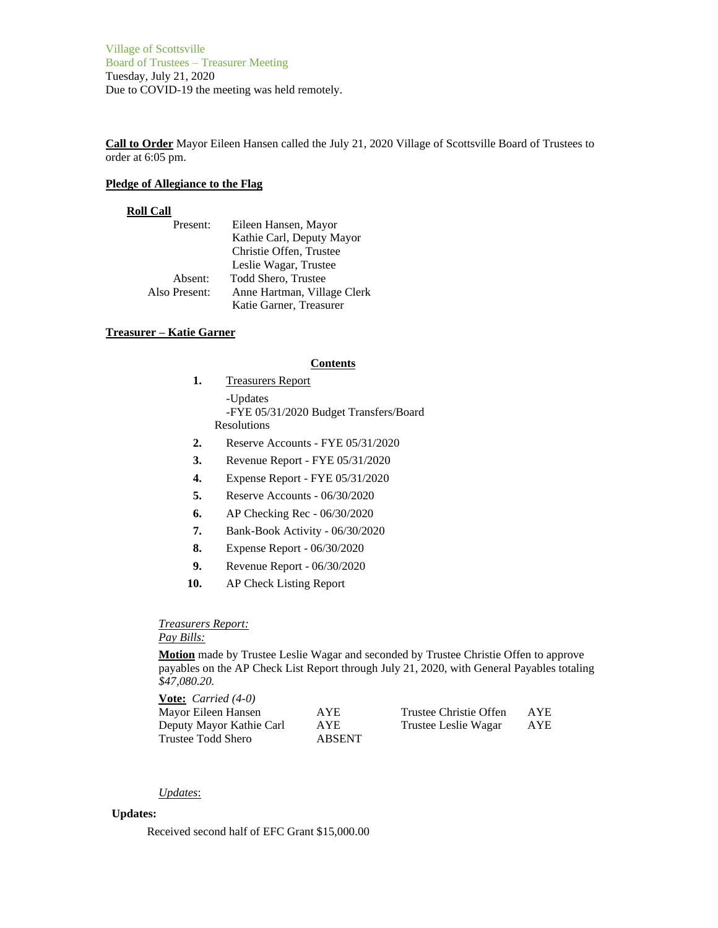Village of Scottsville Board of Trustees – Treasurer Meeting Tuesday, July 21, 2020 Due to COVID-19 the meeting was held remotely.

**Call to Order** Mayor Eileen Hansen called the July 21, 2020 Village of Scottsville Board of Trustees to order at 6:05 pm.

#### **Pledge of Allegiance to the Flag**

#### **Roll Call**

| Present:      | Eileen Hansen, Mayor        |
|---------------|-----------------------------|
|               | Kathie Carl, Deputy Mayor   |
|               | Christie Offen, Trustee     |
|               | Leslie Wagar, Trustee       |
| Absent:       | Todd Shero, Trustee         |
| Also Present: | Anne Hartman, Village Clerk |
|               | Katie Garner, Treasurer     |

## **Treasurer – Katie Garner**

#### **Contents**

- **1.** Treasurers Report -Updates -FYE 05/31/2020 Budget Transfers/Board Resolutions
- **2.** Reserve Accounts FYE 05/31/2020
- **3.** Revenue Report FYE 05/31/2020
- **4.** Expense Report FYE 05/31/2020
- **5.** Reserve Accounts 06/30/2020
- **6.** AP Checking Rec 06/30/2020
- **7.** Bank-Book Activity 06/30/2020
- **8.** Expense Report 06/30/2020
- **9.** Revenue Report 06/30/2020
- **10.** AP Check Listing Report

# *Treasurers Report:*

# *Pay Bills:*

**Motion** made by Trustee Leslie Wagar and seconded by Trustee Christie Offen to approve payables on the AP Check List Report through July 21, 2020, with General Payables totaling *\$47,080.20.*

| <b>Vote:</b> <i>Carried</i> $(4-0)$ |               |                        |      |
|-------------------------------------|---------------|------------------------|------|
| Mayor Eileen Hansen                 | <b>AYE</b>    | Trustee Christie Offen | AYE. |
| Deputy Mayor Kathie Carl            | AYE.          | Trustee Leslie Wagar   | AYE  |
| Trustee Todd Shero                  | <b>ABSENT</b> |                        |      |

## *Updates*:

# **Updates:**

Received second half of EFC Grant \$15,000.00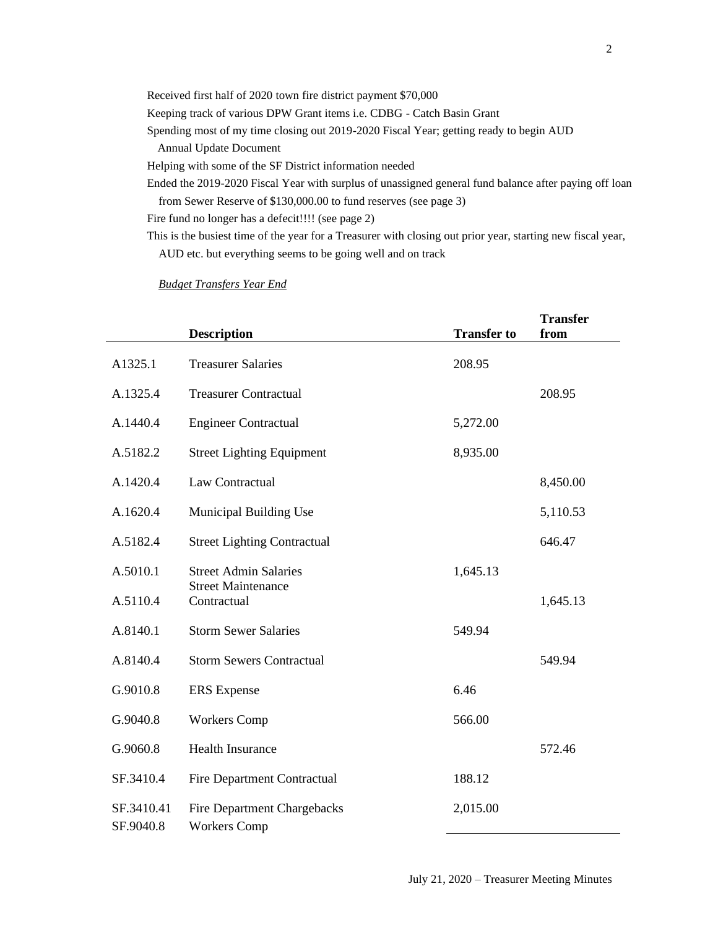| Received first half of 2020 town fire district payment \$70,000                                       |
|-------------------------------------------------------------------------------------------------------|
| Keeping track of various DPW Grant items <i>i.e.</i> CDBG - Catch Basin Grant                         |
| Spending most of my time closing out 2019-2020 Fiscal Year; getting ready to begin AUD                |
| Annual Update Document                                                                                |
| Helping with some of the SF District information needed                                               |
| Ended the 2019-2020 Fiscal Year with surplus of unassigned general fund balance after paying off loan |
| from Sewer Reserve of \$130,000.00 to fund reserves (see page 3)                                      |

Fire fund no longer has a defecit!!!! (see page 2)

This is the busiest time of the year for a Treasurer with closing out prior year, starting new fiscal year, AUD etc. but everything seems to be going well and on track

*Budget Transfers Year End*

|                         | <b>Description</b>                                        | <b>Transfer to</b> | <b>Transfer</b><br>from |
|-------------------------|-----------------------------------------------------------|--------------------|-------------------------|
| A1325.1                 | <b>Treasurer Salaries</b>                                 | 208.95             |                         |
| A.1325.4                | <b>Treasurer Contractual</b>                              |                    | 208.95                  |
| A.1440.4                | <b>Engineer Contractual</b>                               | 5,272.00           |                         |
| A.5182.2                | <b>Street Lighting Equipment</b>                          | 8,935.00           |                         |
| A.1420.4                | Law Contractual                                           |                    | 8,450.00                |
| A.1620.4                | Municipal Building Use                                    |                    | 5,110.53                |
| A.5182.4                | <b>Street Lighting Contractual</b>                        |                    | 646.47                  |
| A.5010.1                | <b>Street Admin Salaries</b>                              | 1,645.13           |                         |
| A.5110.4                | <b>Street Maintenance</b><br>Contractual                  |                    | 1,645.13                |
| A.8140.1                | <b>Storm Sewer Salaries</b>                               | 549.94             |                         |
| A.8140.4                | <b>Storm Sewers Contractual</b>                           |                    | 549.94                  |
| G.9010.8                | <b>ERS</b> Expense                                        | 6.46               |                         |
| G.9040.8                | <b>Workers Comp</b>                                       | 566.00             |                         |
| G.9060.8                | <b>Health Insurance</b>                                   |                    | 572.46                  |
| SF.3410.4               | <b>Fire Department Contractual</b>                        | 188.12             |                         |
| SF.3410.41<br>SF.9040.8 | <b>Fire Department Chargebacks</b><br><b>Workers Comp</b> | 2,015.00           |                         |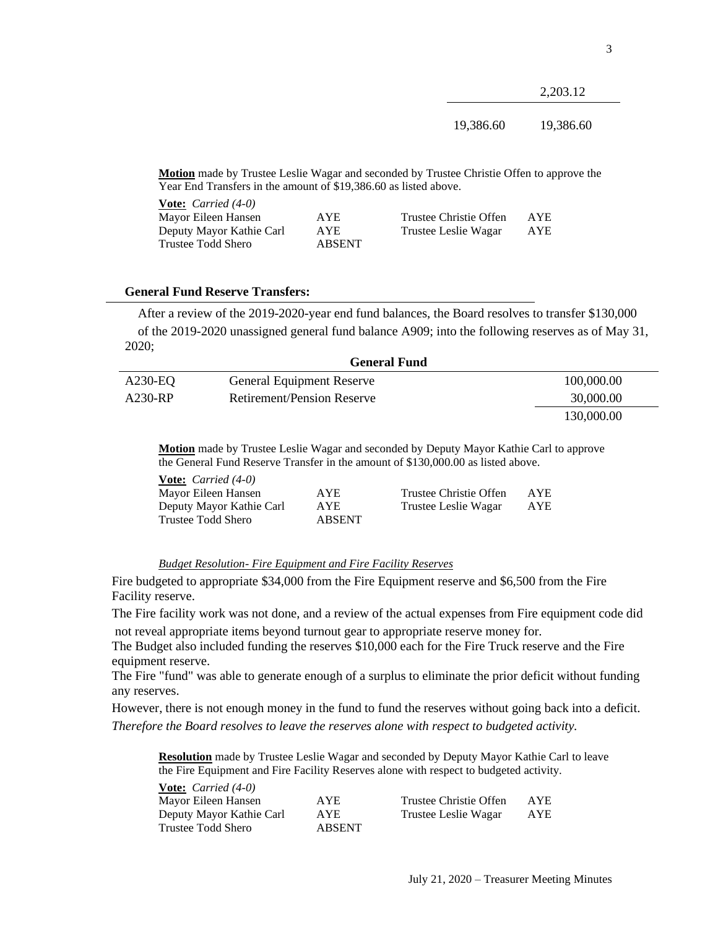2,203.12

19,386.60 19,386.60

**Motion** made by Trustee Leslie Wagar and seconded by Trustee Christie Offen to approve the Year End Transfers in the amount of \$19,386.60 as listed above.

| <b>Vote:</b> <i>Carried</i> $(4-0)$ |               |                        |            |
|-------------------------------------|---------------|------------------------|------------|
| Mayor Eileen Hansen                 | AYE.          | Trustee Christie Offen | <b>AYE</b> |
| Deputy Mayor Kathie Carl            | AYE.          | Trustee Leslie Wagar   | AYE        |
| Trustee Todd Shero                  | <b>ABSENT</b> |                        |            |

## **General Fund Reserve Transfers:**

After a review of the 2019-2020-year end fund balances, the Board resolves to transfer \$130,000 of the 2019-2020 unassigned general fund balance A909; into the following reserves as of May 31, 2020;

| <b>General Fund</b> |                                  |            |  |
|---------------------|----------------------------------|------------|--|
| $A230-EQ$           | <b>General Equipment Reserve</b> | 100,000.00 |  |
| A230-RP             | Retirement/Pension Reserve       | 30,000.00  |  |
|                     |                                  | 130,000.00 |  |

**Motion** made by Trustee Leslie Wagar and seconded by Deputy Mayor Kathie Carl to approve the General Fund Reserve Transfer in the amount of \$130,000.00 as listed above.

| <b>Vote:</b> <i>Carried</i> $(4-0)$ |               |                        |            |
|-------------------------------------|---------------|------------------------|------------|
| Mayor Eileen Hansen                 | AYE.          | Trustee Christie Offen | <b>AYE</b> |
| Deputy Mayor Kathie Carl            | AYE           | Trustee Leslie Wagar   | AYE        |
| Trustee Todd Shero                  | <b>ABSENT</b> |                        |            |

# *Budget Resolution- Fire Equipment and Fire Facility Reserves*

Fire budgeted to appropriate \$34,000 from the Fire Equipment reserve and \$6,500 from the Fire Facility reserve.

The Fire facility work was not done, and a review of the actual expenses from Fire equipment code did not reveal appropriate items beyond turnout gear to appropriate reserve money for.

The Budget also included funding the reserves \$10,000 each for the Fire Truck reserve and the Fire equipment reserve.

The Fire "fund" was able to generate enough of a surplus to eliminate the prior deficit without funding any reserves.

However, there is not enough money in the fund to fund the reserves without going back into a deficit. *Therefore the Board resolves to leave the reserves alone with respect to budgeted activity.*

**Resolution** made by Trustee Leslie Wagar and seconded by Deputy Mayor Kathie Carl to leave the Fire Equipment and Fire Facility Reserves alone with respect to budgeted activity.

| <b>Vote:</b> <i>Carried</i> $(4-0)$ |               |                        |      |
|-------------------------------------|---------------|------------------------|------|
| Mayor Eileen Hansen                 | <b>AYE</b>    | Trustee Christie Offen | AYE. |
| Deputy Mayor Kathie Carl            | <b>AYE</b>    | Trustee Leslie Wagar   | AYE  |
| Trustee Todd Shero                  | <b>ABSENT</b> |                        |      |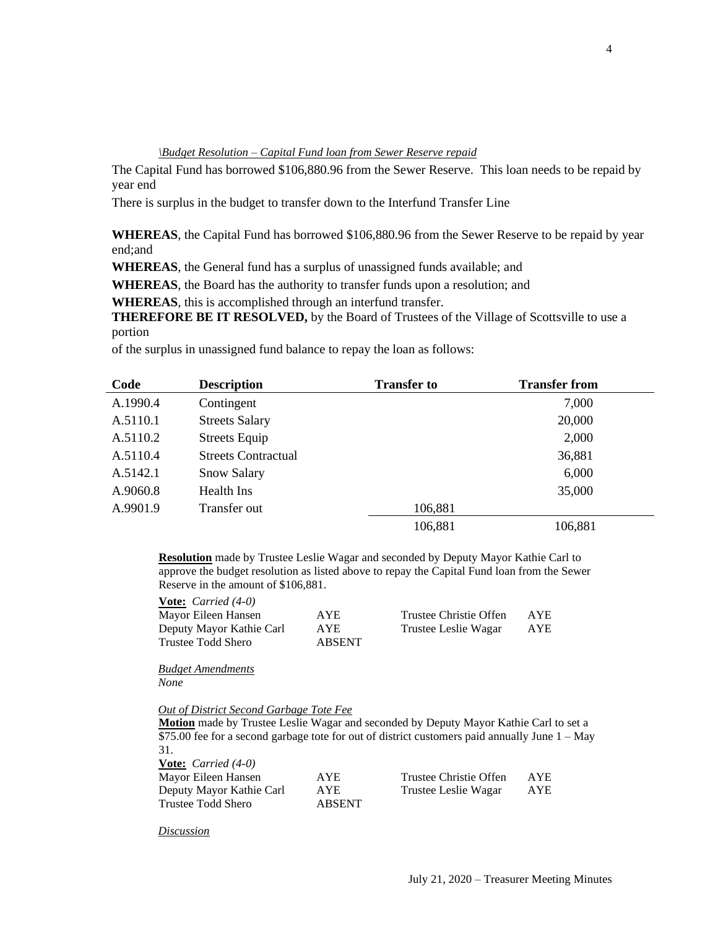*\Budget Resolution – Capital Fund loan from Sewer Reserve repaid*

The Capital Fund has borrowed \$106,880.96 from the Sewer Reserve. This loan needs to be repaid by year end

There is surplus in the budget to transfer down to the Interfund Transfer Line

**WHEREAS**, the Capital Fund has borrowed \$106,880.96 from the Sewer Reserve to be repaid by year end;and

**WHEREAS**, the General fund has a surplus of unassigned funds available; and

**WHEREAS**, the Board has the authority to transfer funds upon a resolution; and

**WHEREAS**, this is accomplished through an interfund transfer.

**THEREFORE BE IT RESOLVED,** by the Board of Trustees of the Village of Scottsville to use a portion

of the surplus in unassigned fund balance to repay the loan as follows:

| Code     | <b>Description</b>         | <b>Transfer to</b> | <b>Transfer from</b> |
|----------|----------------------------|--------------------|----------------------|
| A.1990.4 | Contingent                 |                    | 7,000                |
| A.5110.1 | <b>Streets Salary</b>      |                    | 20,000               |
| A.5110.2 | <b>Streets Equip</b>       |                    | 2,000                |
| A.5110.4 | <b>Streets Contractual</b> |                    | 36,881               |
| A.5142.1 | <b>Snow Salary</b>         |                    | 6,000                |
| A.9060.8 | Health Ins                 |                    | 35,000               |
| A.9901.9 | Transfer out               | 106,881            |                      |
|          |                            | 106,881            | 106,881              |

**Resolution** made by Trustee Leslie Wagar and seconded by Deputy Mayor Kathie Carl to approve the budget resolution as listed above to repay the Capital Fund loan from the Sewer Reserve in the amount of \$106,881.

| <b>Vote:</b> <i>Carried</i> $(4-0)$ |               |                        |      |
|-------------------------------------|---------------|------------------------|------|
| Mayor Eileen Hansen                 | <b>AYE</b>    | Trustee Christie Offen | AYE. |
| Deputy Mayor Kathie Carl            | AYE           | Trustee Leslie Wagar   | AYE  |
| Trustee Todd Shero                  | <b>ABSENT</b> |                        |      |

*Budget Amendments None*

*Out of District Second Garbage Tote Fee*

**Motion** made by Trustee Leslie Wagar and seconded by Deputy Mayor Kathie Carl to set a \$75.00 fee for a second garbage tote for out of district customers paid annually June  $1 - May$ 31. **Vote:** *Carried (4-0)*

| <b>YOLC.</b> Carried $(70)$ |               |                        |      |
|-----------------------------|---------------|------------------------|------|
| Mayor Eileen Hansen         | <b>AYE</b>    | Trustee Christie Offen | AYE. |
| Deputy Mayor Kathie Carl    | AYE           | Trustee Leslie Wagar   | AYE  |
| Trustee Todd Shero          | <b>ABSENT</b> |                        |      |

*Discussion*